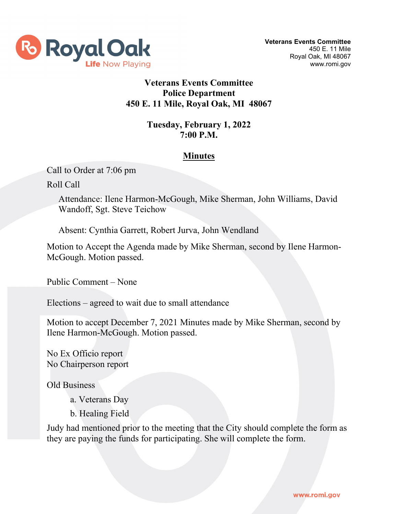

## **Veterans Events Committee Police Department 450 E. 11 Mile, Royal Oak, MI 48067**

## **Tuesday, February 1, 2022 7:00 P.M.**

## **Minutes**

Call to Order at 7:06 pm

Roll Call

Attendance: Ilene Harmon-McGough, Mike Sherman, John Williams, David Wandoff, Sgt. Steve Teichow

Absent: Cynthia Garrett, Robert Jurva, John Wendland

Motion to Accept the Agenda made by Mike Sherman, second by Ilene Harmon-McGough. Motion passed.

Public Comment – None

Elections – agreed to wait due to small attendance

Motion to accept December 7, 2021 Minutes made by Mike Sherman, second by Ilene Harmon-McGough. Motion passed.

No Ex Officio report No Chairperson report

Old Business

a. Veterans Day

b. Healing Field

Judy had mentioned prior to the meeting that the City should complete the form as they are paying the funds for participating. She will complete the form.